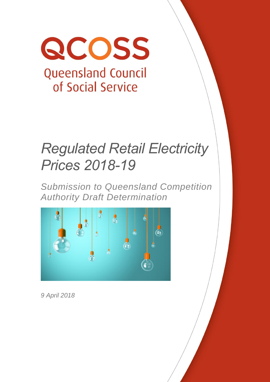

# *Regulated Retail Electricity Prices 2018-19*

*Submission to Queensland Competition Authority Draft Determination*



*9 April 2018*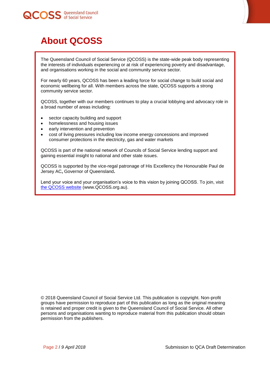



# <span id="page-1-0"></span>**About QCOSS**

The Queensland Council of Social Service (QCOSS) is the state-wide peak body representing the interests of individuals experiencing or at risk of experiencing poverty and disadvantage, and organisations working in the social and community service sector.

For nearly 60 years, QCOSS has been a leading force for social change to build social and economic wellbeing for all. With members across the state, QCOSS supports a strong community service sector.

QCOSS, together with our members continues to play a crucial lobbying and advocacy role in a broad number of areas including:

- sector capacity building and support
- homelessness and housing issues
- early intervention and prevention
- cost of living pressures including low income energy concessions and improved consumer protections in the electricity, gas and water markets

QCOSS is part of the national network of Councils of Social Service lending support and gaining essential insight to national and other state issues.

QCOSS is supported by the vice-regal patronage of His Excellency the Honourable Paul de Jersey AC**,** [Governor of Queensland](http://www.govhouse.qld.gov.au/)**.**

Lend your voice and your organisation's voice to this vision by joining QCOSS. To join, visit [the QCOSS website](http://www.qcoss.org.au/) (www.QCOSS.org.au).

© 2018 Queensland Council of Social Service Ltd. This publication is copyright. Non-profit groups have permission to reproduce part of this publication as long as the original meaning is retained and proper credit is given to the Queensland Council of Social Service. All other persons and organisations wanting to reproduce material from this publication should obtain permission from the publishers.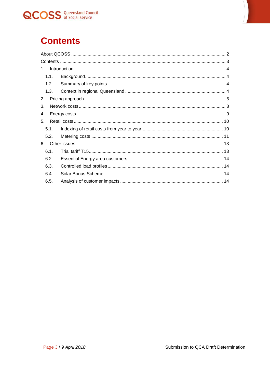

# <span id="page-2-0"></span>**Contents**

| 1.   |  |
|------|--|
| 1.1. |  |
| 1.2. |  |
| 1.3. |  |
| 2.   |  |
| 3.   |  |
| 4.   |  |
| 5.   |  |
| 5.1. |  |
| 5.2. |  |
| 6.   |  |
| 6.1. |  |
| 6.2. |  |
| 6.3. |  |
| 6.4. |  |
| 6.5. |  |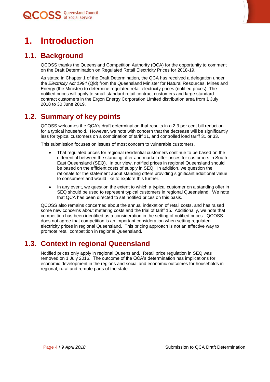

# <span id="page-3-0"></span>**1. Introduction**

### **1.1. Background**

<span id="page-3-1"></span>QCOSS thanks the Queensland Competition Authority (QCA) for the opportunity to comment on the Draft Determination on Regulated Retail Electricity Prices for 2018-19.

As stated in Chapter 1 of the Draft Determination, the QCA has received a delegation under the *Electricity Act 1994* (Qld) from the Queensland Minister for Natural Resources, Mines and Energy (the Minister) to determine regulated retail electricity prices (notified prices). The notified prices will apply to small standard retail contract customers and large standard contract customers in the Ergon Energy Corporation Limited distribution area from 1 July 2018 to 30 June 2019.

### **1.2. Summary of key points**

<span id="page-3-2"></span>QCOSS welcomes the QCA's draft determination that results in a 2.3 per cent bill reduction for a typical household. However, we note with concern that the decrease will be significantly less for typical customers on a combination of tariff 11, and controlled load tariff 31 or 33.

This submission focuses on issues of most concern to vulnerable customers.

- That regulated prices for regional residential customers continue to be based on the differential between the standing offer and market offer prices for customers in South East Queensland (SEQ). In our view, notified prices in regional Queensland should be based on the efficient costs of supply in SEQ. In addition, we question the rationale for the statement about standing offers providing significant additional value to consumers and would like to explore this further.
- In any event, we question the extent to which a typical customer on a standing offer in SEQ should be used to represent typical customers in regional Queensland. We note that QCA has been directed to set notified prices on this basis.

QCOSS also remains concerned about the annual indexation of retail costs, and has raised some new concerns about metering costs and the trial of tariff 15. Additionally, we note that competition has been identified as a consideration in the setting of notified prices. QCOSS does not agree that competition is an important consideration when setting regulated electricity prices in regional Queensland. This pricing approach is not an effective way to promote retail competition in regional Queensland.

### **1.3. Context in regional Queensland**

<span id="page-3-3"></span>Notified prices only apply in regional Queensland. Retail price regulation in SEQ was removed on 1 July 2016. The outcome of the QCA's determination has implications for economic development in the regions and social and economic outcomes for households in regional, rural and remote parts of the state.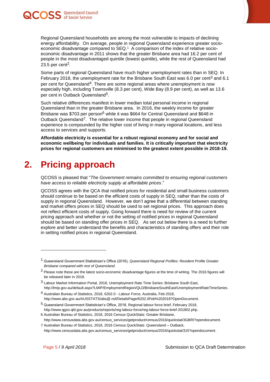



Regional Queensland households are among the most vulnerable to impacts of declining energy affordability. On average, people in regional Queensland experience greater socioeconomic disadvantage compared to SEQ.<sup>1</sup> A comparison of the index of relative socioeconomic disadvantage in 2011 shows that the greater Brisbane area had 16.2 per cent of people in the most disadvantaged quintile (lowest quintile), while the rest of Queensland had 23.5 per cent<sup>2</sup>.

Some parts of regional Queensland have much higher unemployment rates than in SEQ. In February 2018, the unemployment rate for the Brisbane South East was 6.0 per cent<sup>3</sup> and 6.1 per cent for Queensland4. There are some regional areas where unemployment is now especially high, including Townsville (8.3 per cent), Wide Bay (8.9 per cent), as well as 13.6 per cent in Outback Queensland5.

Such relative differences manifest in lower median total personal income in regional Queensland than in the greater Brisbane area. In 2016, the weekly income for greater Brisbane was \$703 per person<sup>6</sup> while it was \$664 for Central Queensland and \$648 in Outback Queensland7. The relative lower income that people in regional Queensland experience is compounded by the higher cost of living in many regional locations, and less access to services and supports.

**Affordable electricity is essential for a robust regional economy and for social and economic wellbeing for individuals and families. It is critically important that electricity prices for regional customers are minimised to the greatest extent possible in 2018-19.**

# <span id="page-4-0"></span>**2. Pricing approach**

QCOSS is pleased that "*The Government remains committed to ensuring regional customers have access to reliable electricity supply at affordable prices*."

QCOSS agrees with the QCA that notified prices for residential and small business customers should continue to be based on the efficient costs of supply in SEQ, rather than the costs of supply in regional Queensland. However, we don't agree that a differential between standing and market offers prices in SEQ should be used to set regional prices. This approach does not reflect efficient costs of supply. Going forward there is need for review of the current pricing approach and whether or not the setting of notified prices in regional Queensland should be based on standing offer prices in SEQ. As set out below there is a need to further explore and better understand the benefits and characteristics of standing offers and their role in setting notified prices in regional Queensland.

 $\overline{a}$ 

<sup>1</sup> Queensland Government Statistician's Office (2016), *Queensland Regional Profiles: Resident Profile Greater Brisbane compared with rest of Queensland.*

<sup>2</sup> Please note these are the latest socio-economic disadvantage figures at the time of writing. The 2016 figures will be released later in 2018.

<sup>3</sup> Labour Market Information Portal, 2018, Unemployment Rate Time Series: Brisbane South East, http://lmip.gov.au/default.aspx?LMIP/EmploymentRegion/QLD/BrisbaneSouthEast/UnemploymentRateTimeSeries.

<sup>4</sup> Australian Bureau of Statistics, 2018, 6202.0 - Labour Force, Australia, Feb 2018, http://www.abs.gov.au/AUSSTATS/abs@.nsf/DetailsPage/6202.0Feb%202018?OpenDocument.

<sup>5</sup> Queensland Government Statistician's Office, 2018, Regional labour force brief, February 2018, http://www.qgso.qld.gov.au/products/reports/reg-labour-force/reg-labour-force-brief-201802.php.

<sup>6</sup> Australian Bureau of Statistics, 2018, 2016 Census QuickStats: Greater Brisbane,

http://www.censusdata.abs.gov.au/census\_services/getproduct/census/2016/quickstat/3GBRI?opendocument.

<sup>7</sup> Australian Bureau of Statistics, 2018, 2016 Census QuickStats: Queensland – Outback, http://www.censusdata.abs.gov.au/census\_services/getproduct/census/2016/quickstat/315?opendocument.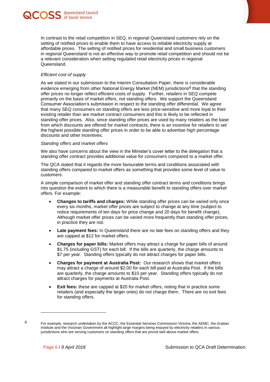



In contrast to the retail competition in SEQ, in regional Queensland customers rely on the setting of notified prices to enable them to have access to reliable electricity supply at affordable prices. The setting of notified prices for residential and small business customers in regional Queensland is not an effective way to promote retail competition and should not be a relevant consideration when setting regulated retail electricity prices in regional Queensland.

#### *Efficient cost of supply*

As we stated in our submission to the Interim Consultation Paper, there is considerable evidence emerging from other National Energy Market (NEM) jurisdictions<sup>8</sup> that the standing offer prices no longer reflect efficient costs of supply. Further, retailers in SEQ compete primarily on the basis of market offers, not standing offers. We support the Queensland Consumer Association's submission in respect to the standing offer differential. We agree that many SEQ consumers on standing offers are less price-sensitive and more loyal to their existing retailer than are market contract consumers and this is likely to be reflected in standing offer prices. Also, since standing offer prices are used by many retailers as the base from which discounts are offered for market contracts, there is an incentive for retailers to set the highest possible standing offer prices in order to be able to advertise high percentage discounts and other incentives.

#### *Standing offers and market offers*

We also have concerns about the view in the Minister's cover letter to the delegation that a standing offer contract provides additional value for consumers compared to a market offer.

The QCA stated that it regards the more favourable terms and conditions associated with standing offers compared to market offers as something that provides some level of value to customers.

A simple comparison of market offer and standing offer contract terms and conditions brings into question the extent to which there is a measurable benefit to standing offers over market offers. For example:

- **Changes to tariffs and charges:** While standing offer prices can be varied only once every six months, market offer prices are subject to change at any time (subject to notice requirements of ten days for price change and 20 days for benefit change). Although market offer prices can be varied more frequently than standing offer prices, in practice they are not.
- Late payment fees: In Queensland there are no late fees on standing offers and they are capped at \$12 for market offers.
- **Charges for paper bills:** Market offers may attract a charge for paper bills of around \$1.75 (including GST) for each bill. If the bills are quarterly, the charge amounts to \$7 per year. Standing offers typically do not attract charges for paper bills.
- **Charges for payment at Australia Post:** Our research shows that market offers may attract a charge of around \$2.00 for each bill paid at Australia Post. If the bills are quarterly, the charge amounts to \$10 per year. Standing offers typically do not attract charges for payments at Australia Post.
- **Exit fees:** these are capped at \$20 for market offers, noting that in practice some retailers (and especially the larger ones) do not charge them. There are no exit fees for standing offers.

 $\overline{a}$ 

<sup>8</sup> For example, research undertaken by the ACCC, the Essential Services Commission Victoria, the AEMC, the Grattan Institute and the Victorian Government all highlight large margins being enjoyed by electricity retailers in various jurisdictions who are serving customers on standing offers that are priced well above market offers.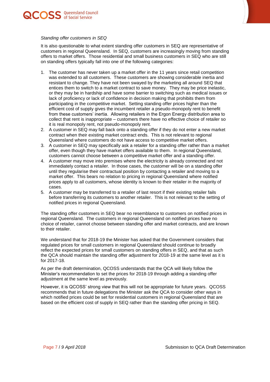



#### *Standing offer customers in SEQ*

It is also questionable to what extent standing offer customers in SEQ are representative of customers in regional Queensland. In SEQ, customers are increasingly moving from standing offers to market offers. Those residential and small business customers in SEQ who are still on standing offers typically fall into one of the following categories:

- 1. The customer has never taken up a market offer in the 11 years since retail competition was extended to all customers. These customers are showing considerable inertia and resistant to change. They have not been swayed by the marketing all around SEQ that entices them to switch to a market contract to save money. They may be price inelastic, or they may be in hardship and have some barrier to switching such as medical issues or lack of proficiency or lack of confidence in decision making that prohibits them from participating in the competitive market. Setting standing offer prices higher than the efficient cost of supply gives the incumbent retailer a pseudo-monopoly rent to benefit from these customers' inertia. Allowing retailers in the Ergon Energy distribution area to collect that rent is inappropriate – customers there have no effective choice of retailer so it is real monopoly rent, not pseudo-monopoly rent.
- 2. A customer in SEQ may fall back onto a standing offer if they do not enter a new market contract when their existing market contract ends. This is not relevant to regional Queensland where customers do not have access to competitive market offers.
- 3. A customer in SEQ may specifically ask a retailer for a standing offer rather than a market offer, even though they have market offers available to them. In regional Queensland, customers cannot choose between a competitive market offer and a standing offer.
- 4. A customer may move into premises where the electricity is already connected and not immediately contact a retailer. In those cases, the customer will be on a standing offer until they regularise their contractual position by contacting a retailer and moving to a market offer. This bears no relation to pricing in regional Queensland where notified prices apply to all customers, whose identity is known to their retailer in the majority of cases.
- 5. A customer may be transferred to a retailer of last resort if their existing retailer fails before transferring its customers to another retailer. This is not relevant to the setting of notified prices in regional Queensland.

The standing offer customers in SEQ bear no resemblance to customers on notified prices in regional Queensland. The customers in regional Queensland on notified prices have no choice of retailer, cannot choose between standing offer and market contracts, and are known to their retailer.

We understand that for 2018-19 the Minister has asked that the Government considers that regulated prices for small customers in regional Queensland should continue to broadly reflect the expected prices for small customers on standing offers in SEQ, and that as such the QCA should maintain the standing offer adjustment for 2018-19 at the same level as it is for 2017-18.

As per the draft determination, QCOSS understands that the QCA will likely follow the Minister's recommendation to set the prices for 2018-19 through adding a standing offer adjustment at the same level as previously.

However, it is QCOSS' strong view that this will not be appropriate for future years. QCOSS recommends that in future delegations the Minister ask the QCA to consider other ways in which notified prices could be set for residential customers in regional Queensland that are based on the efficient cost of supply in SEQ rather than the standing offer pricing in SEQ.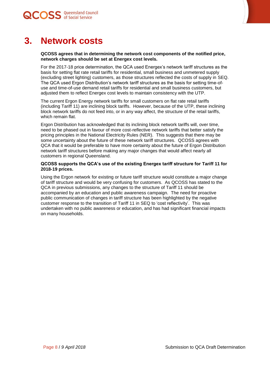



# **3. Network costs**

#### <span id="page-7-0"></span>**QCOSS agrees that in determining the network cost components of the notified price, network charges should be set at Energex cost levels.**

For the 2017-18 price determination, the QCA used Energex's network tariff structures as the basis for setting flat rate retail tariffs for residential, small business and unmetered supply (excluding street lighting) customers, as those structures reflected the costs of supply in SEQ. The QCA used Ergon Distribution's network tariff structures as the basis for setting time-ofuse and time-of-use demand retail tariffs for residential and small business customers, but adjusted them to reflect Energex cost levels to maintain consistency with the UTP.

The current Ergon Energy network tariffs for small customers on flat rate retail tariffs (including Tariff 11) are inclining block tariffs. However, because of the UTP, these inclining block network tariffs do not feed into, or in any way affect, the structure of the retail tariffs, which remain flat.

Ergon Distribution has acknowledged that its inclining block network tariffs will, over time, need to be phased out in favour of more cost-reflective network tariffs that better satisfy the pricing principles in the National Electricity Rules (NER). This suggests that there may be some uncertainty about the future of these network tariff structures. QCOSS agrees with QCA that it would be preferable to have more certainty about the future of Ergon Distribution network tariff structures before making any major changes that would affect nearly all customers in regional Queensland.

#### **QCOSS supports the QCA's use of the existing Energex tariff structure for Tariff 11 for 2018-19 prices.**

Using the Ergon network for existing or future tariff structure would constitute a major change of tariff structure and would be very confusing for customers. As QCOSS has stated to the QCA in previous submissions, any changes to the structure of Tariff 11 should be accompanied by an education and public awareness campaign. The need for proactive public communication of changes in tariff structure has been highlighted by the negative customer response to the transition of Tariff 11 in SEQ to 'cost reflectivity'. This was undertaken with no public awareness or education, and has had significant financial impacts on many households.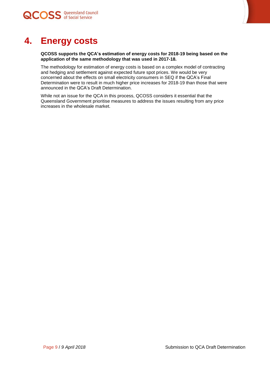



# **4. Energy costs**

<span id="page-8-0"></span>**QCOSS supports the QCA's estimation of energy costs for 2018-19 being based on the application of the same methodology that was used in 2017-18.**

The methodology for estimation of energy costs is based on a complex model of contracting and hedging and settlement against expected future spot prices. We would be very concerned about the effects on small electricity consumers in SEQ if the QCA's Final Determination were to result in much higher price increases for 2018-19 than those that were announced in the QCA's Draft Determination.

While not an issue for the QCA in this process, QCOSS considers it essential that the Queensland Government prioritise measures to address the issues resulting from any price increases in the wholesale market.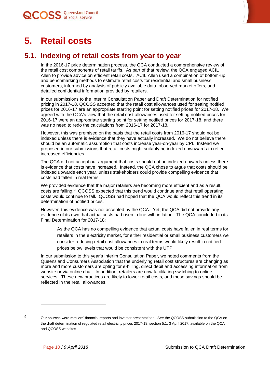

# <span id="page-9-0"></span>**5. Retail costs**

### **5.1. Indexing of retail costs from year to year**

<span id="page-9-1"></span>In the 2016-17 price determination process, the QCA conducted a comprehensive review of the retail cost components of retail tariffs. As part of that review, the QCA engaged ACIL Allen to provide advice on efficient retail costs. ACIL Allen used a combination of bottom-up and benchmarking methods to estimate retail costs for residential and small business customers, informed by analysis of publicly available data, observed market offers, and detailed confidential information provided by retailers.

In our submissions to the Interim Consultation Paper and Draft Determination for notified pricing in 2017-18, QCOSS accepted that the retail cost allowances used for setting notified prices for 2016-17 are an appropriate starting point for setting notified prices for 2017-18. We agreed with the QCA's view that the retail cost allowances used for setting notified prices for 2016-17 were an appropriate starting point for setting notified prices for 2017-18, and there was no need to redo the calculations from 2016-17 for 2017-18.

However, this was premised on the basis that the retail costs from 2016-17 should not be indexed unless there is evidence that they have actually increased. We do not believe there should be an automatic assumption that costs increase year-on-year by CPI. Instead we proposed in our submissions that retail costs might suitably be indexed downwards to reflect increased efficiencies.

The QCA did not accept our argument that costs should not be indexed upwards unless there is evidence that costs have increased. Instead, the QCA chose to argue that costs should be indexed upwards each year, unless stakeholders could provide compelling evidence that costs had fallen in real terms.

We provided evidence that the major retailers are becoming more efficient and as a result, costs are falling.<sup>9</sup> QCOSS expected that this trend would continue and that retail operating costs would continue to fall. QCOSS had hoped that the QCA would reflect this trend in its determination of notified prices.

However, this evidence was not accepted by the QCA. Yet, the QCA did not provide any evidence of its own that actual costs had risen in line with inflation. The QCA concluded in its Final Determination for 2017-18:

As the QCA has no compelling evidence that actual costs have fallen in real terms for retailers in the electricity market, for either residential or small business customers we consider reducing retail cost allowances in real terms would likely result in notified prices below levels that would be consistent with the UTP.

In our submission to this year's Interim Consultation Paper, we noted comments from the Queensland Consumers Association that the underlying retail cost structures are changing as more and more customers are opting for e-billing, direct debit and accessing information from website or via online chat. In addition, retailers are now facilitating switching to online services. These new practices are likely to lower retail costs, and these savings should be reflected in the retail allowances.

l

<sup>9</sup> Our sources were retailers' financial reports and investor presentations. See the QCOSS submission to the QCA on the draft determination of regulated retail electricity prices 2017-18, section 5.1, 3 April 2017, available on the QCA and QCOSS websites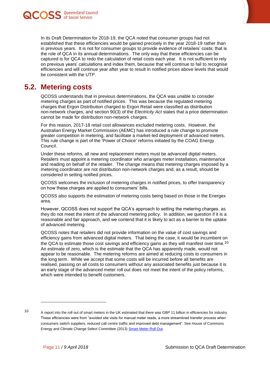



In its Draft Determination for 2018-19, the QCA noted that consumer groups had not established that these efficiencies would be gained precisely in the year 2018-19 rather than in previous years. It is not for consumer groups to provide evidence of retailers' costs; that is the role of QCA in its annual determinations. The only way that these efficiencies can be captured is for QCA to redo the calculation of retail costs each year. It is not sufficient to rely on previous years' calculations and index them, because that will continue to fail to recognise efficiencies and will continue year after year to result in notified prices above levels that would be consistent with the UTP.

### **5.2. Metering costs**

<span id="page-10-0"></span>QCOSS understands that in previous determinations, the QCA was unable to consider metering charges as part of notified prices. This was because the regulated metering charges that Ergon Distribution charged to Ergon Retail were classified as distribution non-network charges, and section 90(3) of the *Electricity Act* states that a price determination cannot be made for distribution non-network charges.

For this reason, 2017-18 retail cost allowances excluded metering costs. However, the Australian Energy Market Commission (AEMC) has introduced a rule change to promote greater competition in metering, and facilitate a market-led deployment of advanced meters. This rule change is part of the 'Power of Choice' reforms initiated by the COAG Energy Council.

Under these reforms, all new and replacement meters must be advanced digital meters. Retailers must appoint a metering coordinator who arranges meter installation, maintenance and reading on behalf of the retailer. The change means that metering charges imposed by a metering coordinator are not distribution non-network charges and, as a result, should be considered in setting notified prices.

QCOSS welcomes the inclusion of metering charges in notified prices, to offer transparency on how these charges are applied to consumers' bills.

QCOSS also supports the estimation of metering costs being based on those in the Energex area.

However, QCOSS does not support the QCA's approach to setting the metering charges, as they do not meet the intent of the advanced metering policy. In addition, we question if it is a reasonable and fair approach, and we contend that it is likely to act as a barrier to the uptake of advanced metering.

QCOSS notes that retailers did not provide information on the value of cost savings and efficiency gains from advanced digital meters. That being the case, it would be incumbent on the QCA to estimate those cost savings and efficiency gains as they will manifest over time.<sup>10</sup> An estimate of zero, which is the estimate that the QCA has apparently made, would not appear to be reasonable. The metering reforms are aimed at reducing costs to consumers in the long term. While we accept that some costs will be incurred before all benefits are realised, passing on all costs to consumers without any associated benefits just because it is an early stage of the advanced meter roll out does not meet the intent of the policy reforms, which were intended to benefit customers.

l

<sup>10</sup> A report into the roll out of smart meters in the UK estimated that there was GBP 11 billion in efficiencies for industry. These efficiencies were from "avoided site visits for manual meter reads, a more streamlined transfer process when consumers switch suppliers, reduced call centre traffic and improved debt management". See House of Commons Energy and Climate Change Select Committee (2013[\) Smart Meter Roll Out.](https://publications.parliament.uk/pa/cm201314/cmselect/cmenergy/161/161.pdf)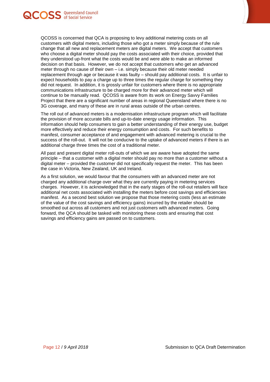



The roll out of advanced meters is a modernisation infrastructure program which will facilitate the provision of more accurate bills and up-to-date energy usage information. This information should help consumers to gain a better understanding of their energy use, budget more effectively and reduce their energy consumption and costs. For such benefits to manifest, consumer acceptance of and engagement with advanced metering is crucial to the success of the roll-out. It will not be conducive to the uptake of advanced meters if there is an additional charge three times the cost of a traditional meter.

All past and present digital meter roll-outs of which we are aware have adopted the same principle – that a customer with a digital meter should pay no more than a customer without a digital meter – provided the customer did not specifically request the meter. This has been the case in Victoria, New Zealand, UK and Ireland.

As a first solution, we would favour that the consumers with an advanced meter are not charged any additional charge over what they are currently paying in metering services charges. However, it is acknowledged that in the early stages of the roll-out retailers will face additional net costs associated with installing the meters before cost savings and efficiencies manifest. As a second best solution we propose that those metering costs (less an estimate of the value of the cost savings and efficiency gains) incurred by the retailer should be smoothed out across all customers and not just customers with advanced meters. Going forward, the QCA should be tasked with monitoring these costs and ensuring that cost savings and efficiency gains are passed on to customers.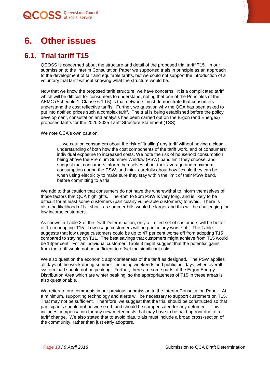

# <span id="page-12-0"></span>**6. Other issues**

### **6.1. Trial tariff T15**

<span id="page-12-1"></span>QCOSS is concerned about the structure and detail of the proposed trial tariff T15. In our submission to the Interim Consultation Paper we supported trials in principle as an approach to the development of fair and equitable tariffs, but we could not support the introduction of a voluntary trial tariff without knowing what the structure would be.

Now that we know the proposed tariff structure, we have concerns. It is a complicated tariff which will be difficult for consumers to understand, noting that one of the Principles of the AEMC (Schedule 1, Clause 6.10.5) is that networks must demonstrate that consumers understand the cost reflective tariffs. Further, we question why the QCA has been asked to put into notified prices such a complex tariff. The trial is being established before the policy development, consultation and analysis has been carried out on the Ergon (and Energex) proposed tariffs for the 2020-2025 Tariff Structure Statement (TSS).

We note QCA's own caution:

… we caution consumers about the risk of 'trialling' any tariff without having a clear understanding of both how the cost components of the tariff work, and of consumers' individual exposure to increased costs. We note the risk of household consumption being above the Premium Summer Window (PSW) band limit they choose, and suggest that consumers inform themselves about their average and maximum consumption during the PSW, and think carefully about how flexible they can be when using electricity to make sure they stay within the limit of their PSW band, before committing to a trial.

We add to that caution that consumers do not have the wherewithal to inform themselves of those factors that QCA highlights. The 4pm to 9pm PSW is very long, and is likely to be difficult for at least some customers (particularly vulnerable customers) to avoid. There is also the likelihood of bill shock as summer bills would be larger and this will be challenging for low income customers.

As shown in Table 3 of the Draft Determination, only a limited set of customers will be better off from adopting T15. Low usage customers will be particularly worse off. The Table suggests that low usage customers could be up to 47 per cent worse off from adopting T15 compared to staying on T11. The best savings that customers might achieve from T15 would be 14per cent. For an individual customer, Table 3 might suggest that the potential gains from the tariff would not be sufficient to offset the significant risks.

We also question the economic appropriateness of the tariff as designed. The PSW applies all days of the week during summer, including weekends and public holidays, when overall system load should not be peaking. Further, there are some parts of the Ergon Energy Distribution Area which are winter peaking, so the appropriateness of T15 in these areas is also questionable.

We reiterate our comments in our previous submission to the Interim Consultation Paper. At a minimum, supporting technology and alerts will be necessary to support customers on T15. That may not be sufficient. Therefore, we suggest that the trial should be constructed so that participants should not be worse off, and should be compensated for any detriment. This includes compensation for any new meter costs that may have to be paid upfront due to a tariff change. We also stated that to avoid bias, trials must include a broad cross-section of the community, rather than just early adopters.